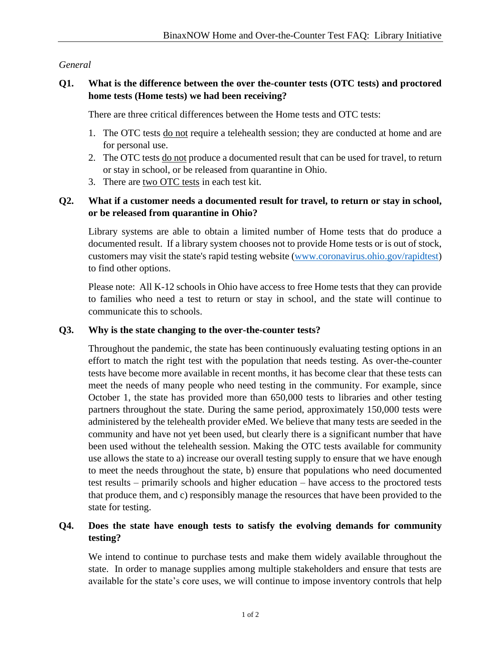## *General*

## **Q1. What is the difference between the over the-counter tests (OTC tests) and proctored home tests (Home tests) we had been receiving?**

There are three critical differences between the Home tests and OTC tests:

- 1. The OTC tests do not require a telehealth session; they are conducted at home and are for personal use.
- 2. The OTC tests do not produce a documented result that can be used for travel, to return or stay in school, or be released from quarantine in Ohio.
- 3. There are two OTC tests in each test kit.

# **Q2. What if a customer needs a documented result for travel, to return or stay in school, or be released from quarantine in Ohio?**

Library systems are able to obtain a limited number of Home tests that do produce a documented result. If a library system chooses not to provide Home tests or is out of stock, customers may visit the state's rapid testing website [\(www.coronavirus.ohio.gov/rapidtest\)](http://www.coronavirus.ohio.gov/rapidtest) to find other options.

Please note: All K-12 schools in Ohio have access to free Home tests that they can provide to families who need a test to return or stay in school, and the state will continue to communicate this to schools.

### **Q3. Why is the state changing to the over-the-counter tests?**

Throughout the pandemic, the state has been continuously evaluating testing options in an effort to match the right test with the population that needs testing. As over-the-counter tests have become more available in recent months, it has become clear that these tests can meet the needs of many people who need testing in the community. For example, since October 1, the state has provided more than 650,000 tests to libraries and other testing partners throughout the state. During the same period, approximately 150,000 tests were administered by the telehealth provider eMed. We believe that many tests are seeded in the community and have not yet been used, but clearly there is a significant number that have been used without the telehealth session. Making the OTC tests available for community use allows the state to a) increase our overall testing supply to ensure that we have enough to meet the needs throughout the state, b) ensure that populations who need documented test results – primarily schools and higher education – have access to the proctored tests that produce them, and c) responsibly manage the resources that have been provided to the state for testing.

### **Q4. Does the state have enough tests to satisfy the evolving demands for community testing?**

We intend to continue to purchase tests and make them widely available throughout the state. In order to manage supplies among multiple stakeholders and ensure that tests are available for the state's core uses, we will continue to impose inventory controls that help